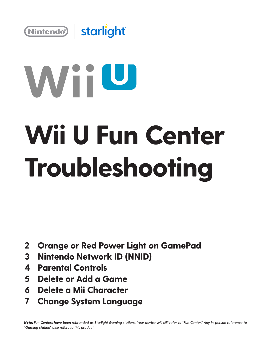

# WiiU **Wii U Fun Center Troubleshooting**

- **Orange or Red Power Light on GamePad 2**
- **Nintendo Network ID (NNID) 3**
- **Parental Controls 4**
- **Delete or Add a Game 5**
- **Delete a Mii Character 6**
- **Change System Language 7**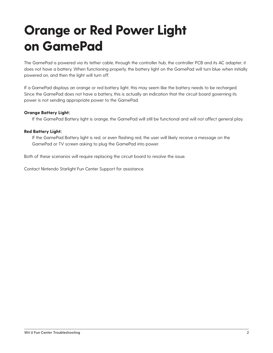### **Orange or Red Power Light on GamePad**

The GamePad is powered via its tether cable, through the controller hub, the controller PCB and its AC adapter; it does not have a battery. When functioning properly, the battery light on the GamePad will turn blue when initially powered on, and then the light will turn off.

If a GamePad displays an orange or red battery light, this may seem like the battery needs to be recharged. Since the GamePad does not have a battery, this is actually an indication that the circuit board governing its power is not sending appropriate power to the GamePad.

### **Orange Battery Light:**

If the GamePad Battery light is orange, the GamePad will still be functional and will not affect general play.

#### **Red Battery Light:**

If the GamePad Battery light is red, or even flashing red, the user will likely receive a message on the GamePad or TV screen asking to plug the GamePad into power.

Both of these scenarios will require replacing the circuit board to resolve the issue.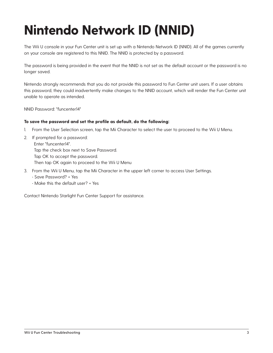## **Nintendo Network ID (NNID)**

The Wii U console in your Fun Center unit is set up with a Nintendo Network ID (NNID). All of the games currently on your console are registered to this NNID. The NNID is protected by a password.

The password is being provided in the event that the NNID is not set as the default account or the password is no longer saved.

Nintendo strongly recommends that you do not provide this password to Fun Center unit users. If a user obtains this password, they could inadvertently make changes to the NNID account, which will render the Fun Center unit unable to operate as intended.

NNID Password: "funcenter14"

#### **To save the password and set the profile as default, do the following:**

- 1. From the User Selection screen, tap the Mii Character to select the user to proceed to the Wii U Menu.
- 2. If prompted for a password: Enter "funcenter14". Tap the check box next to Save Password. Tap OK to accept the password. Then tap OK again to proceed to the Wii U Menu
- 3. From the Wii U Menu, tap the Mii Character in the upper left corner to access User Settings.
	- Save Password? = Yes
	- Make this the default user? = Yes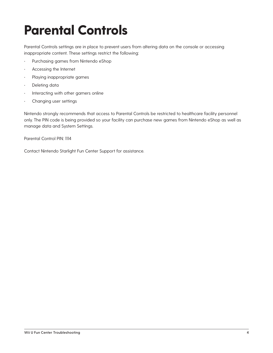### **Parental Controls**

Parental Controls settings are in place to prevent users from altering data on the console or accessing inappropriate content. These settings restrict the following:

- Purchasing games from Nintendo eShop
- Accessing the Internet
- Playing inappropriate games
- Deleting data
- Interacting with other gamers online
- Changing user settings

Nintendo strongly recommends that access to Parental Controls be restricted to healthcare facility personnel only. The PIN code is being provided so your facility can purchase new games from Nintendo eShop as well as manage data and System Settings.

Parental Control PIN: 1114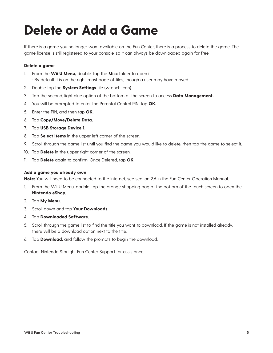### **Delete or Add a Game**

If there is a game you no longer want available on the Fun Center, there is a process to delete the game. The game license is still registered to your console, so it can always be downloaded again for free.

#### **Delete a game**

- 1. From the **Wii U Menu,** double-tap the **Misc** folder to open it. • By default it is on the right-most page of tiles, though a user may have moved it.
- 2. Double tap the **System Settings** tile (wrench icon).
- 3. Tap the second, light blue option at the bottom of the screen to access **Data Management.**
- 4. You will be prompted to enter the Parental Control PIN, tap **OK.**
- 5. Enter the PIN, and then tap **OK.**
- 6. Tap **Copy/Move/Delete Data.**
- 7. Tap **USB Storage Device 1.**
- 8. Tap **Select Items** in the upper left corner of the screen.
- 9. Scroll through the game list until you find the game you would like to delete, then tap the game to select it.
- 10. Tap **Delete** in the upper right corner of the screen.
- 11. Tap **Delete** again to confirm. Once Deleted, tap **OK.**

#### **Add a game you already own**

**Note:** You will need to be connected to the Internet, see section 2.6 in the Fun Center Operation Manual.

- 1. From the Wii U Menu, double-tap the orange shopping bag at the bottom of the touch screen to open the **Nintendo eShop.**
- 2. Tap **My Menu.**
- 3. Scroll down and tap **Your Downloads.**
- 4. Tap **Downloaded Software.**
- 5. Scroll through the game list to find the title you want to download. If the game is not installed already, there will be a download option next to the title.
- 6. Tap **Download,** and follow the prompts to begin the download.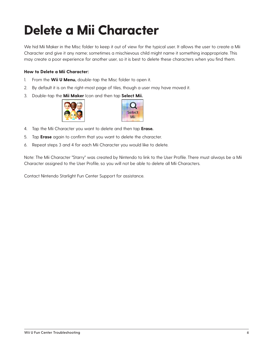# **Delete a Mii Character**

We hid Mii Maker in the Misc folder to keep it out of view for the typical user. It allows the user to create a Mii Character and give it any name; sometimes a mischievous child might name it something inappropriate. This may create a poor experience for another user, so it is best to delete these characters when you find them.

### **How to Delete a Mii Character:**

- 1. From the **Wii U Menu,** double-tap the Misc folder to open it.
- 2. By default it is on the right-most page of tiles, though a user may have moved it.
- 3. Double-tap the **Mii Maker** Icon and then tap **Select Mii.**





- 4. Tap the Mii Character you want to delete and then tap **Erase.**
- 5. Tap **Erase** again to confirm that you want to delete the character.
- 6. Repeat steps 3 and 4 for each Mii Character you would like to delete.

Note: The Mii Character "Starry" was created by Nintendo to link to the User Profile. There must always be a Mii Character assigned to the User Profile, so you will not be able to delete all Mii Characters.